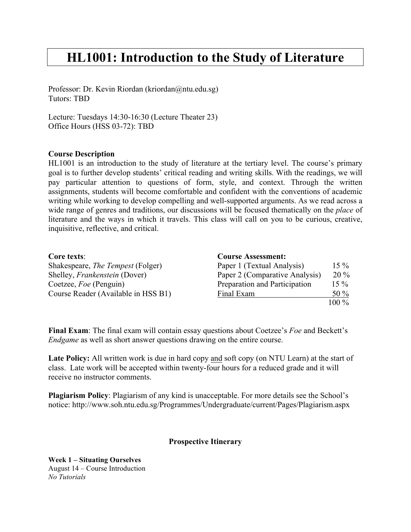## **HL1001: Introduction to the Study of Literature**

Professor: Dr. Kevin Riordan (kriordan@ntu.edu.sg) Tutors: TBD

Lecture: Tuesdays 14:30-16:30 (Lecture Theater 23) Office Hours (HSS 03-72): TBD

## **Course Description**

HL1001 is an introduction to the study of literature at the tertiary level. The course's primary goal is to further develop students' critical reading and writing skills. With the readings, we will pay particular attention to questions of form, style, and context. Through the written assignments, students will become comfortable and confident with the conventions of academic writing while working to develop compelling and well-supported arguments. As we read across a wide range of genres and traditions, our discussions will be focused thematically on the *place* of literature and the ways in which it travels. This class will call on you to be curious, creative, inquisitive, reflective, and critical.

| Core texts:                              | <b>Course Assessment:</b>      |         |
|------------------------------------------|--------------------------------|---------|
| Shakespeare, <i>The Tempest</i> (Folger) | Paper 1 (Textual Analysis)     | $15\%$  |
| Shelley, <i>Frankenstein</i> (Dover)     | Paper 2 (Comparative Analysis) | $20\%$  |
| Coetzee, Foe (Penguin)                   | Preparation and Participation  | $15\%$  |
| Course Reader (Available in HSS B1)      | Final Exam                     | 50 $%$  |
|                                          |                                | $100\%$ |

**Final Exam**: The final exam will contain essay questions about Coetzee's *Foe* and Beckett's *Endgame* as well as short answer questions drawing on the entire course.

Late Policy: All written work is due in hard copy and soft copy (on NTU Learn) at the start of class. Late work will be accepted within twenty-four hours for a reduced grade and it will receive no instructor comments.

**Plagiarism Policy**: Plagiarism of any kind is unacceptable. For more details see the School's notice: http://www.soh.ntu.edu.sg/Programmes/Undergraduate/current/Pages/Plagiarism.aspx

## **Prospective Itinerary**

**Week 1 – Situating Ourselves** August 14 – Course Introduction *No Tutorials*